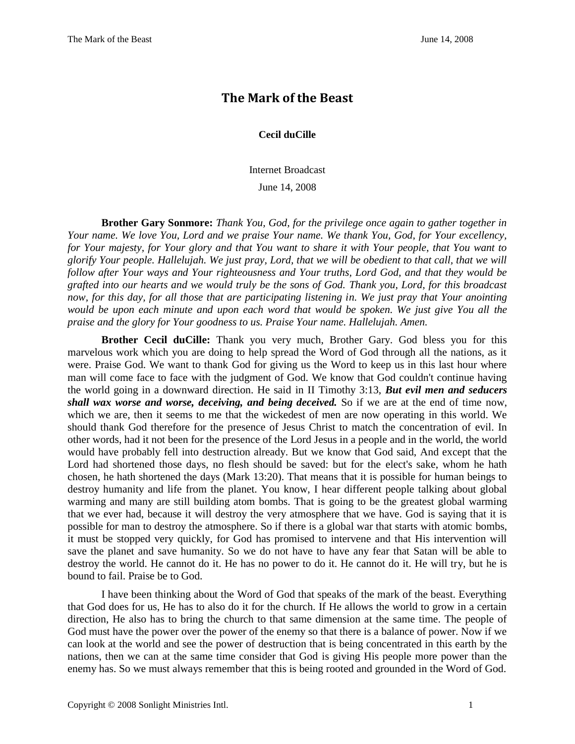## **The Mark of the Beast**

## **Cecil duCille**

Internet Broadcast June 14, 2008

**Brother Gary Sonmore:** *Thank You, God, for the privilege once again to gather together in Your name. We love You, Lord and we praise Your name. We thank You, God, for Your excellency, for Your majesty, for Your glory and that You want to share it with Your people, that You want to glorify Your people. Hallelujah. We just pray, Lord, that we will be obedient to that call, that we will follow after Your ways and Your righteousness and Your truths, Lord God, and that they would be grafted into our hearts and we would truly be the sons of God. Thank you, Lord, for this broadcast now, for this day, for all those that are participating listening in. We just pray that Your anointing would be upon each minute and upon each word that would be spoken. We just give You all the praise and the glory for Your goodness to us. Praise Your name. Hallelujah. Amen.*

**Brother Cecil duCille:** Thank you very much, Brother Gary. God bless you for this marvelous work which you are doing to help spread the Word of God through all the nations, as it were. Praise God. We want to thank God for giving us the Word to keep us in this last hour where man will come face to face with the judgment of God. We know that God couldn't continue having the world going in a downward direction. He said in II Timothy 3:13, *But evil men and seducers shall wax worse and worse, deceiving, and being deceived.* So if we are at the end of time now, which we are, then it seems to me that the wickedest of men are now operating in this world. We should thank God therefore for the presence of Jesus Christ to match the concentration of evil. In other words, had it not been for the presence of the Lord Jesus in a people and in the world, the world would have probably fell into destruction already. But we know that God said, And except that the Lord had shortened those days, no flesh should be saved: but for the elect's sake, whom he hath chosen, he hath shortened the days (Mark 13:20). That means that it is possible for human beings to destroy humanity and life from the planet. You know, I hear different people talking about global warming and many are still building atom bombs. That is going to be the greatest global warming that we ever had, because it will destroy the very atmosphere that we have. God is saying that it is possible for man to destroy the atmosphere. So if there is a global war that starts with atomic bombs, it must be stopped very quickly, for God has promised to intervene and that His intervention will save the planet and save humanity. So we do not have to have any fear that Satan will be able to destroy the world. He cannot do it. He has no power to do it. He cannot do it. He will try, but he is bound to fail. Praise be to God.

I have been thinking about the Word of God that speaks of the mark of the beast. Everything that God does for us, He has to also do it for the church. If He allows the world to grow in a certain direction, He also has to bring the church to that same dimension at the same time. The people of God must have the power over the power of the enemy so that there is a balance of power. Now if we can look at the world and see the power of destruction that is being concentrated in this earth by the nations, then we can at the same time consider that God is giving His people more power than the enemy has. So we must always remember that this is being rooted and grounded in the Word of God.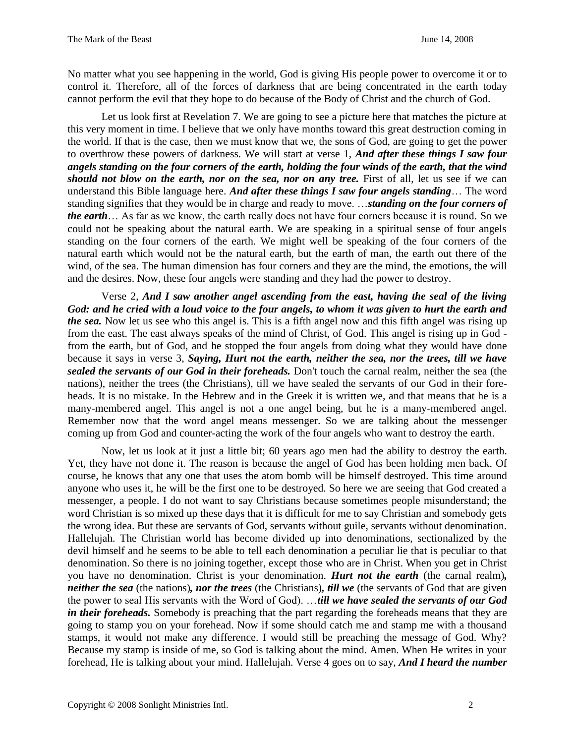No matter what you see happening in the world, God is giving His people power to overcome it or to control it. Therefore, all of the forces of darkness that are being concentrated in the earth today cannot perform the evil that they hope to do because of the Body of Christ and the church of God.

Let us look first at Revelation 7. We are going to see a picture here that matches the picture at this very moment in time. I believe that we only have months toward this great destruction coming in the world. If that is the case, then we must know that we, the sons of God, are going to get the power to overthrow these powers of darkness. We will start at verse 1, *And after these things I saw four angels standing on the four corners of the earth, holding the four winds of the earth, that the wind should not blow on the earth, nor on the sea, nor on any tree.* First of all, let us see if we can understand this Bible language here. *And after these things I saw four angels standing*… The word standing signifies that they would be in charge and ready to move. …*standing on the four corners of the earth*… As far as we know, the earth really does not have four corners because it is round. So we could not be speaking about the natural earth. We are speaking in a spiritual sense of four angels standing on the four corners of the earth. We might well be speaking of the four corners of the natural earth which would not be the natural earth, but the earth of man, the earth out there of the wind, of the sea. The human dimension has four corners and they are the mind, the emotions, the will and the desires. Now, these four angels were standing and they had the power to destroy.

Verse 2, *And I saw another angel ascending from the east, having the seal of the living God: and he cried with a loud voice to the four angels, to whom it was given to hurt the earth and the sea.* Now let us see who this angel is. This is a fifth angel now and this fifth angel was rising up from the east. The east always speaks of the mind of Christ, of God. This angel is rising up in God from the earth, but of God, and he stopped the four angels from doing what they would have done because it says in verse 3, *Saying, Hurt not the earth, neither the sea, nor the trees, till we have sealed the servants of our God in their foreheads.* Don't touch the carnal realm, neither the sea (the nations), neither the trees (the Christians), till we have sealed the servants of our God in their foreheads. It is no mistake. In the Hebrew and in the Greek it is written we, and that means that he is a many-membered angel. This angel is not a one angel being, but he is a many-membered angel. Remember now that the word angel means messenger. So we are talking about the messenger coming up from God and counter-acting the work of the four angels who want to destroy the earth.

Now, let us look at it just a little bit; 60 years ago men had the ability to destroy the earth. Yet, they have not done it. The reason is because the angel of God has been holding men back. Of course, he knows that any one that uses the atom bomb will be himself destroyed. This time around anyone who uses it, he will be the first one to be destroyed. So here we are seeing that God created a messenger, a people. I do not want to say Christians because sometimes people misunderstand; the word Christian is so mixed up these days that it is difficult for me to say Christian and somebody gets the wrong idea. But these are servants of God, servants without guile, servants without denomination. Hallelujah. The Christian world has become divided up into denominations, sectionalized by the devil himself and he seems to be able to tell each denomination a peculiar lie that is peculiar to that denomination. So there is no joining together, except those who are in Christ. When you get in Christ you have no denomination. Christ is your denomination. *Hurt not the earth* (the carnal realm)*, neither the sea* (the nations)*, nor the trees* (the Christians)*, till we* (the servants of God that are given the power to seal His servants with the Word of God). …*till we have sealed the servants of our God in their foreheads.* Somebody is preaching that the part regarding the foreheads means that they are going to stamp you on your forehead. Now if some should catch me and stamp me with a thousand stamps, it would not make any difference. I would still be preaching the message of God. Why? Because my stamp is inside of me, so God is talking about the mind. Amen. When He writes in your forehead, He is talking about your mind. Hallelujah. Verse 4 goes on to say, *And I heard the number*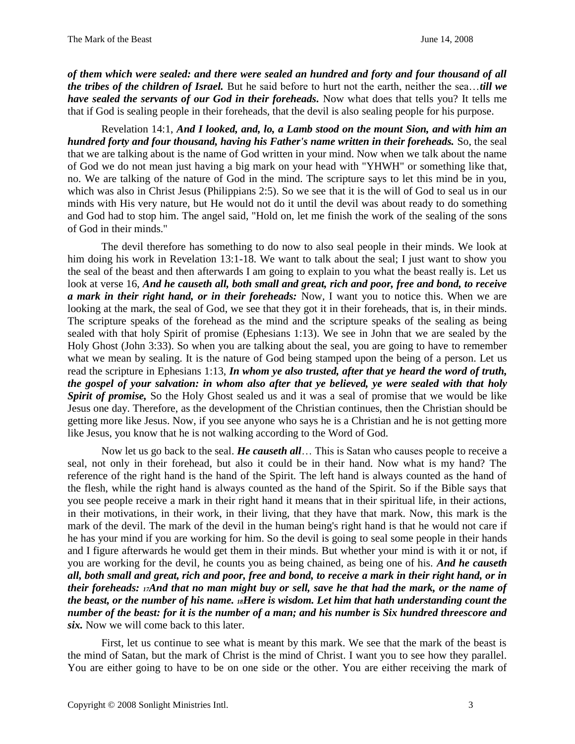*of them which were sealed: and there were sealed an hundred and forty and four thousand of all the tribes of the children of Israel.* But he said before to hurt not the earth, neither the sea…*till we have sealed the servants of our God in their foreheads.* Now what does that tells you? It tells me that if God is sealing people in their foreheads, that the devil is also sealing people for his purpose.

Revelation 14:1, *And I looked, and, lo, a Lamb stood on the mount Sion, and with him an hundred forty and four thousand, having his Father's name written in their foreheads.* So, the seal that we are talking about is the name of God written in your mind. Now when we talk about the name of God we do not mean just having a big mark on your head with "YHWH" or something like that, no. We are talking of the nature of God in the mind. The scripture says to let this mind be in you, which was also in Christ Jesus (Philippians 2:5). So we see that it is the will of God to seal us in our minds with His very nature, but He would not do it until the devil was about ready to do something and God had to stop him. The angel said, "Hold on, let me finish the work of the sealing of the sons of God in their minds."

The devil therefore has something to do now to also seal people in their minds. We look at him doing his work in Revelation 13:1-18. We want to talk about the seal; I just want to show you the seal of the beast and then afterwards I am going to explain to you what the beast really is. Let us look at verse 16, *And he causeth all, both small and great, rich and poor, free and bond, to receive a mark in their right hand, or in their foreheads:* Now, I want you to notice this. When we are looking at the mark, the seal of God, we see that they got it in their foreheads, that is, in their minds. The scripture speaks of the forehead as the mind and the scripture speaks of the sealing as being sealed with that holy Spirit of promise (Ephesians 1:13). We see in John that we are sealed by the Holy Ghost (John 3:33). So when you are talking about the seal, you are going to have to remember what we mean by sealing. It is the nature of God being stamped upon the being of a person. Let us read the scripture in Ephesians 1:13, *In whom ye also trusted, after that ye heard the word of truth, the gospel of your salvation: in whom also after that ye believed, ye were sealed with that holy Spirit of promise,* So the Holy Ghost sealed us and it was a seal of promise that we would be like Jesus one day. Therefore, as the development of the Christian continues, then the Christian should be getting more like Jesus. Now, if you see anyone who says he is a Christian and he is not getting more like Jesus, you know that he is not walking according to the Word of God.

Now let us go back to the seal. *He causeth all*… This is Satan who causes people to receive a seal, not only in their forehead, but also it could be in their hand. Now what is my hand? The reference of the right hand is the hand of the Spirit. The left hand is always counted as the hand of the flesh, while the right hand is always counted as the hand of the Spirit. So if the Bible says that you see people receive a mark in their right hand it means that in their spiritual life, in their actions, in their motivations, in their work, in their living, that they have that mark. Now, this mark is the mark of the devil. The mark of the devil in the human being's right hand is that he would not care if he has your mind if you are working for him. So the devil is going to seal some people in their hands and I figure afterwards he would get them in their minds. But whether your mind is with it or not, if you are working for the devil, he counts you as being chained, as being one of his. *And he causeth all, both small and great, rich and poor, free and bond, to receive a mark in their right hand, or in their foreheads: 17And that no man might buy or sell, save he that had the mark, or the name of the beast, or the number of his name. 18Here is wisdom. Let him that hath understanding count the number of the beast: for it is the number of a man; and his number is Six hundred threescore and six.* Now we will come back to this later.

First, let us continue to see what is meant by this mark. We see that the mark of the beast is the mind of Satan, but the mark of Christ is the mind of Christ. I want you to see how they parallel. You are either going to have to be on one side or the other. You are either receiving the mark of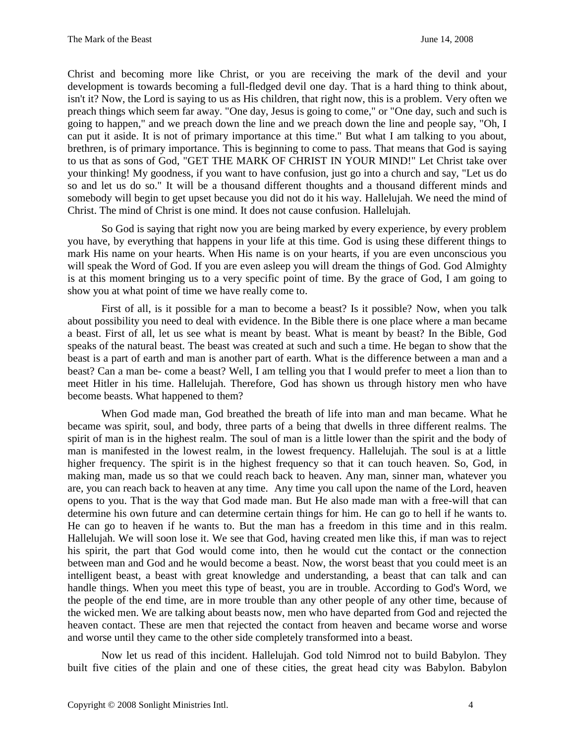Christ and becoming more like Christ, or you are receiving the mark of the devil and your development is towards becoming a full-fledged devil one day. That is a hard thing to think about, isn't it? Now, the Lord is saying to us as His children, that right now, this is a problem. Very often we preach things which seem far away. "One day, Jesus is going to come," or "One day, such and such is going to happen," and we preach down the line and we preach down the line and people say, "Oh, I can put it aside. It is not of primary importance at this time." But what I am talking to you about, brethren, is of primary importance. This is beginning to come to pass. That means that God is saying to us that as sons of God, "GET THE MARK OF CHRIST IN YOUR MIND!" Let Christ take over your thinking! My goodness, if you want to have confusion, just go into a church and say, "Let us do so and let us do so." It will be a thousand different thoughts and a thousand different minds and somebody will begin to get upset because you did not do it his way. Hallelujah. We need the mind of Christ. The mind of Christ is one mind. It does not cause confusion. Hallelujah.

So God is saying that right now you are being marked by every experience, by every problem you have, by everything that happens in your life at this time. God is using these different things to mark His name on your hearts. When His name is on your hearts, if you are even unconscious you will speak the Word of God. If you are even asleep you will dream the things of God. God Almighty is at this moment bringing us to a very specific point of time. By the grace of God, I am going to show you at what point of time we have really come to.

First of all, is it possible for a man to become a beast? Is it possible? Now, when you talk about possibility you need to deal with evidence. In the Bible there is one place where a man became a beast. First of all, let us see what is meant by beast. What is meant by beast? In the Bible, God speaks of the natural beast. The beast was created at such and such a time. He began to show that the beast is a part of earth and man is another part of earth. What is the difference between a man and a beast? Can a man be- come a beast? Well, I am telling you that I would prefer to meet a lion than to meet Hitler in his time. Hallelujah. Therefore, God has shown us through history men who have become beasts. What happened to them?

When God made man, God breathed the breath of life into man and man became. What he became was spirit, soul, and body, three parts of a being that dwells in three different realms. The spirit of man is in the highest realm. The soul of man is a little lower than the spirit and the body of man is manifested in the lowest realm, in the lowest frequency. Hallelujah. The soul is at a little higher frequency. The spirit is in the highest frequency so that it can touch heaven. So, God, in making man, made us so that we could reach back to heaven. Any man, sinner man, whatever you are, you can reach back to heaven at any time. Any time you call upon the name of the Lord, heaven opens to you. That is the way that God made man. But He also made man with a free-will that can determine his own future and can determine certain things for him. He can go to hell if he wants to. He can go to heaven if he wants to. But the man has a freedom in this time and in this realm. Hallelujah. We will soon lose it. We see that God, having created men like this, if man was to reject his spirit, the part that God would come into, then he would cut the contact or the connection between man and God and he would become a beast. Now, the worst beast that you could meet is an intelligent beast, a beast with great knowledge and understanding, a beast that can talk and can handle things. When you meet this type of beast, you are in trouble. According to God's Word, we the people of the end time, are in more trouble than any other people of any other time, because of the wicked men. We are talking about beasts now, men who have departed from God and rejected the heaven contact. These are men that rejected the contact from heaven and became worse and worse and worse until they came to the other side completely transformed into a beast.

Now let us read of this incident. Hallelujah. God told Nimrod not to build Babylon. They built five cities of the plain and one of these cities, the great head city was Babylon. Babylon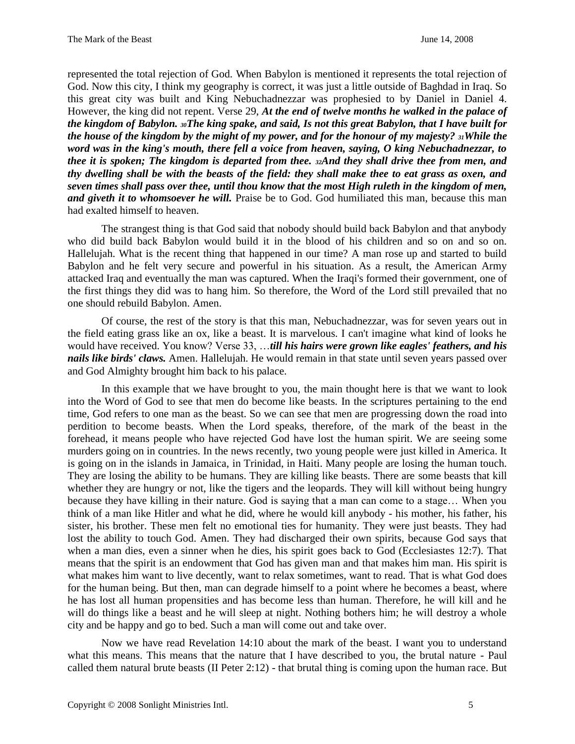represented the total rejection of God. When Babylon is mentioned it represents the total rejection of God. Now this city, I think my geography is correct, it was just a little outside of Baghdad in Iraq. So this great city was built and King Nebuchadnezzar was prophesied to by Daniel in Daniel 4. However, the king did not repent. Verse 29, *At the end of twelve months he walked in the palace of the kingdom of Babylon. 30The king spake, and said, Is not this great Babylon, that I have built for the house of the kingdom by the might of my power, and for the honour of my majesty? 31While the word was in the king's mouth, there fell a voice from heaven, saying, O king Nebuchadnezzar, to thee it is spoken; The kingdom is departed from thee. 32And they shall drive thee from men, and thy dwelling shall be with the beasts of the field: they shall make thee to eat grass as oxen, and seven times shall pass over thee, until thou know that the most High ruleth in the kingdom of men, and giveth it to whomsoever he will.* Praise be to God. God humiliated this man, because this man had exalted himself to heaven.

The strangest thing is that God said that nobody should build back Babylon and that anybody who did build back Babylon would build it in the blood of his children and so on and so on. Hallelujah. What is the recent thing that happened in our time? A man rose up and started to build Babylon and he felt very secure and powerful in his situation. As a result, the American Army attacked Iraq and eventually the man was captured. When the Iraqi's formed their government, one of the first things they did was to hang him. So therefore, the Word of the Lord still prevailed that no one should rebuild Babylon. Amen.

Of course, the rest of the story is that this man, Nebuchadnezzar, was for seven years out in the field eating grass like an ox, like a beast. It is marvelous. I can't imagine what kind of looks he would have received. You know? Verse 33, …*till his hairs were grown like eagles' feathers, and his nails like birds' claws.* Amen. Hallelujah. He would remain in that state until seven years passed over and God Almighty brought him back to his palace.

In this example that we have brought to you, the main thought here is that we want to look into the Word of God to see that men do become like beasts. In the scriptures pertaining to the end time, God refers to one man as the beast. So we can see that men are progressing down the road into perdition to become beasts. When the Lord speaks, therefore, of the mark of the beast in the forehead, it means people who have rejected God have lost the human spirit. We are seeing some murders going on in countries. In the news recently, two young people were just killed in America. It is going on in the islands in Jamaica, in Trinidad, in Haiti. Many people are losing the human touch. They are losing the ability to be humans. They are killing like beasts. There are some beasts that kill whether they are hungry or not, like the tigers and the leopards. They will kill without being hungry because they have killing in their nature. God is saying that a man can come to a stage… When you think of a man like Hitler and what he did, where he would kill anybody - his mother, his father, his sister, his brother. These men felt no emotional ties for humanity. They were just beasts. They had lost the ability to touch God. Amen. They had discharged their own spirits, because God says that when a man dies, even a sinner when he dies, his spirit goes back to God (Ecclesiastes 12:7). That means that the spirit is an endowment that God has given man and that makes him man. His spirit is what makes him want to live decently, want to relax sometimes, want to read. That is what God does for the human being. But then, man can degrade himself to a point where he becomes a beast, where he has lost all human propensities and has become less than human. Therefore, he will kill and he will do things like a beast and he will sleep at night. Nothing bothers him; he will destroy a whole city and be happy and go to bed. Such a man will come out and take over.

Now we have read Revelation 14:10 about the mark of the beast. I want you to understand what this means. This means that the nature that I have described to you, the brutal nature - Paul called them natural brute beasts (II Peter 2:12) - that brutal thing is coming upon the human race. But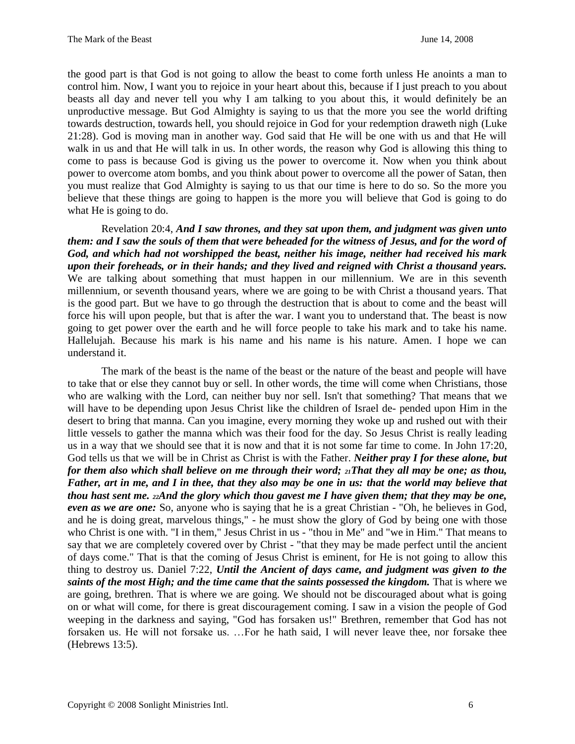the good part is that God is not going to allow the beast to come forth unless He anoints a man to control him. Now, I want you to rejoice in your heart about this, because if I just preach to you about beasts all day and never tell you why I am talking to you about this, it would definitely be an unproductive message. But God Almighty is saying to us that the more you see the world drifting towards destruction, towards hell, you should rejoice in God for your redemption draweth nigh (Luke 21:28). God is moving man in another way. God said that He will be one with us and that He will walk in us and that He will talk in us. In other words, the reason why God is allowing this thing to come to pass is because God is giving us the power to overcome it. Now when you think about power to overcome atom bombs, and you think about power to overcome all the power of Satan, then you must realize that God Almighty is saying to us that our time is here to do so. So the more you believe that these things are going to happen is the more you will believe that God is going to do what He is going to do.

Revelation 20:4, *And I saw thrones, and they sat upon them, and judgment was given unto them: and I saw the souls of them that were beheaded for the witness of Jesus, and for the word of God, and which had not worshipped the beast, neither his image, neither had received his mark upon their foreheads, or in their hands; and they lived and reigned with Christ a thousand years.*  We are talking about something that must happen in our millennium. We are in this seventh millennium, or seventh thousand years, where we are going to be with Christ a thousand years. That is the good part. But we have to go through the destruction that is about to come and the beast will force his will upon people, but that is after the war. I want you to understand that. The beast is now going to get power over the earth and he will force people to take his mark and to take his name. Hallelujah. Because his mark is his name and his name is his nature. Amen. I hope we can understand it.

The mark of the beast is the name of the beast or the nature of the beast and people will have to take that or else they cannot buy or sell. In other words, the time will come when Christians, those who are walking with the Lord, can neither buy nor sell. Isn't that something? That means that we will have to be depending upon Jesus Christ like the children of Israel de- pended upon Him in the desert to bring that manna. Can you imagine, every morning they woke up and rushed out with their little vessels to gather the manna which was their food for the day. So Jesus Christ is really leading us in a way that we should see that it is now and that it is not some far time to come. In John 17:20, God tells us that we will be in Christ as Christ is with the Father. *Neither pray I for these alone, but for them also which shall believe on me through their word; 21That they all may be one; as thou, Father, art in me, and I in thee, that they also may be one in us: that the world may believe that thou hast sent me. 22And the glory which thou gavest me I have given them; that they may be one, even as we are one:* So, anyone who is saying that he is a great Christian - "Oh, he believes in God, and he is doing great, marvelous things," - he must show the glory of God by being one with those who Christ is one with. "I in them," Jesus Christ in us - "thou in Me" and "we in Him." That means to say that we are completely covered over by Christ - "that they may be made perfect until the ancient of days come." That is that the coming of Jesus Christ is eminent, for He is not going to allow this thing to destroy us. Daniel 7:22, *Until the Ancient of days came, and judgment was given to the* saints of the most High; and the time came that the saints possessed the kingdom. That is where we are going, brethren. That is where we are going. We should not be discouraged about what is going on or what will come, for there is great discouragement coming. I saw in a vision the people of God weeping in the darkness and saying, "God has forsaken us!" Brethren, remember that God has not forsaken us. He will not forsake us. …For he hath said, I will never leave thee, nor forsake thee (Hebrews 13:5).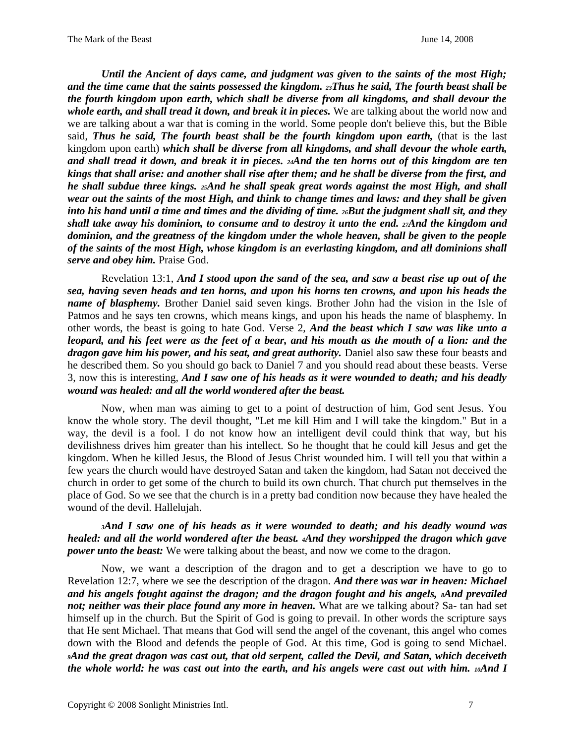*Until the Ancient of days came, and judgment was given to the saints of the most High; and the time came that the saints possessed the kingdom. 23Thus he said, The fourth beast shall be the fourth kingdom upon earth, which shall be diverse from all kingdoms, and shall devour the whole earth, and shall tread it down, and break it in pieces.* We are talking about the world now and we are talking about a war that is coming in the world. Some people don't believe this, but the Bible said, *Thus he said, The fourth beast shall be the fourth kingdom upon earth,* (that is the last kingdom upon earth) *which shall be diverse from all kingdoms, and shall devour the whole earth, and shall tread it down, and break it in pieces. 24And the ten horns out of this kingdom are ten kings that shall arise: and another shall rise after them; and he shall be diverse from the first, and he shall subdue three kings. 25And he shall speak great words against the most High, and shall wear out the saints of the most High, and think to change times and laws: and they shall be given into his hand until a time and times and the dividing of time. 26But the judgment shall sit, and they shall take away his dominion, to consume and to destroy it unto the end. 27And the kingdom and dominion, and the greatness of the kingdom under the whole heaven, shall be given to the people of the saints of the most High, whose kingdom is an everlasting kingdom, and all dominions shall serve and obey him.* Praise God.

Revelation 13:1, *And I stood upon the sand of the sea, and saw a beast rise up out of the sea, having seven heads and ten horns, and upon his horns ten crowns, and upon his heads the name of blasphemy.* Brother Daniel said seven kings. Brother John had the vision in the Isle of Patmos and he says ten crowns, which means kings, and upon his heads the name of blasphemy. In other words, the beast is going to hate God. Verse 2, *And the beast which I saw was like unto a leopard, and his feet were as the feet of a bear, and his mouth as the mouth of a lion: and the dragon gave him his power, and his seat, and great authority.* Daniel also saw these four beasts and he described them. So you should go back to Daniel 7 and you should read about these beasts. Verse 3, now this is interesting, *And I saw one of his heads as it were wounded to death; and his deadly wound was healed: and all the world wondered after the beast.*

Now, when man was aiming to get to a point of destruction of him, God sent Jesus. You know the whole story. The devil thought, "Let me kill Him and I will take the kingdom." But in a way, the devil is a fool. I do not know how an intelligent devil could think that way, but his devilishness drives him greater than his intellect. So he thought that he could kill Jesus and get the kingdom. When he killed Jesus, the Blood of Jesus Christ wounded him. I will tell you that within a few years the church would have destroyed Satan and taken the kingdom, had Satan not deceived the church in order to get some of the church to build its own church. That church put themselves in the place of God. So we see that the church is in a pretty bad condition now because they have healed the wound of the devil. Hallelujah.

*<sup>3</sup>And I saw one of his heads as it were wounded to death; and his deadly wound was healed: and all the world wondered after the beast. 4And they worshipped the dragon which gave power unto the beast:* We were talking about the beast, and now we come to the dragon.

Now, we want a description of the dragon and to get a description we have to go to Revelation 12:7, where we see the description of the dragon. *And there was war in heaven: Michael and his angels fought against the dragon; and the dragon fought and his angels, <sup>8</sup>And prevailed not; neither was their place found any more in heaven.* What are we talking about? Sa- tan had set himself up in the church. But the Spirit of God is going to prevail. In other words the scripture says that He sent Michael. That means that God will send the angel of the covenant, this angel who comes down with the Blood and defends the people of God. At this time, God is going to send Michael. *<sup>9</sup>And the great dragon was cast out, that old serpent, called the Devil, and Satan, which deceiveth the whole world: he was cast out into the earth, and his angels were cast out with him. 10And I*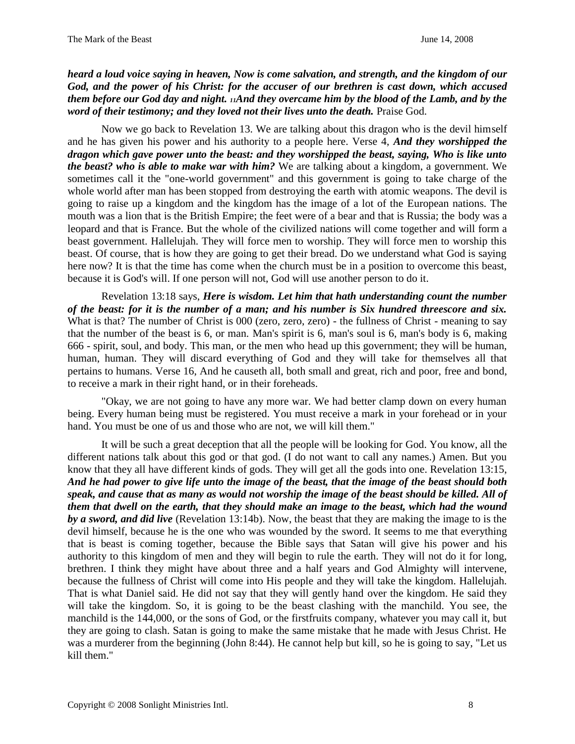*heard a loud voice saying in heaven, Now is come salvation, and strength, and the kingdom of our God, and the power of his Christ: for the accuser of our brethren is cast down, which accused them before our God day and night. 11And they overcame him by the blood of the Lamb, and by the word of their testimony; and they loved not their lives unto the death. Praise God.* 

Now we go back to Revelation 13. We are talking about this dragon who is the devil himself and he has given his power and his authority to a people here. Verse 4, *And they worshipped the dragon which gave power unto the beast: and they worshipped the beast, saying, Who is like unto the beast? who is able to make war with him?* We are talking about a kingdom, a government. We sometimes call it the "one-world government" and this government is going to take charge of the whole world after man has been stopped from destroying the earth with atomic weapons. The devil is going to raise up a kingdom and the kingdom has the image of a lot of the European nations. The mouth was a lion that is the British Empire; the feet were of a bear and that is Russia; the body was a leopard and that is France. But the whole of the civilized nations will come together and will form a beast government. Hallelujah. They will force men to worship. They will force men to worship this beast. Of course, that is how they are going to get their bread. Do we understand what God is saying here now? It is that the time has come when the church must be in a position to overcome this beast, because it is God's will. If one person will not, God will use another person to do it.

Revelation 13:18 says, *Here is wisdom. Let him that hath understanding count the number of the beast: for it is the number of a man; and his number is Six hundred threescore and six.*  What is that? The number of Christ is 000 (zero, zero, zero) - the fullness of Christ - meaning to say that the number of the beast is 6, or man. Man's spirit is 6, man's soul is 6, man's body is 6, making 666 - spirit, soul, and body. This man, or the men who head up this government; they will be human, human, human. They will discard everything of God and they will take for themselves all that pertains to humans. Verse 16, And he causeth all, both small and great, rich and poor, free and bond, to receive a mark in their right hand, or in their foreheads.

"Okay, we are not going to have any more war. We had better clamp down on every human being. Every human being must be registered. You must receive a mark in your forehead or in your hand. You must be one of us and those who are not, we will kill them."

It will be such a great deception that all the people will be looking for God. You know, all the different nations talk about this god or that god. (I do not want to call any names.) Amen. But you know that they all have different kinds of gods. They will get all the gods into one. Revelation 13:15, *And he had power to give life unto the image of the beast, that the image of the beast should both speak, and cause that as many as would not worship the image of the beast should be killed. All of them that dwell on the earth, that they should make an image to the beast, which had the wound by a sword, and did live* (Revelation 13:14b). Now, the beast that they are making the image to is the devil himself, because he is the one who was wounded by the sword. It seems to me that everything that is beast is coming together, because the Bible says that Satan will give his power and his authority to this kingdom of men and they will begin to rule the earth. They will not do it for long, brethren. I think they might have about three and a half years and God Almighty will intervene, because the fullness of Christ will come into His people and they will take the kingdom. Hallelujah. That is what Daniel said. He did not say that they will gently hand over the kingdom. He said they will take the kingdom. So, it is going to be the beast clashing with the manchild. You see, the manchild is the 144,000, or the sons of God, or the firstfruits company, whatever you may call it, but they are going to clash. Satan is going to make the same mistake that he made with Jesus Christ. He was a murderer from the beginning (John 8:44). He cannot help but kill, so he is going to say, "Let us kill them."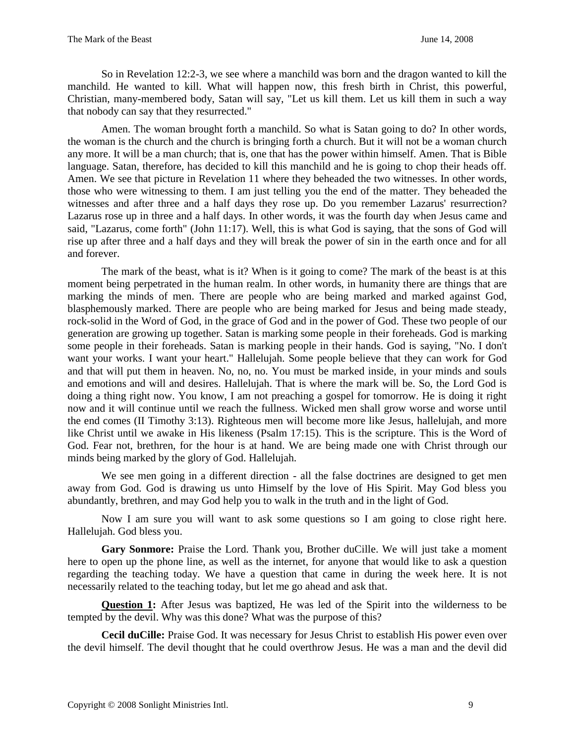So in Revelation 12:2-3, we see where a manchild was born and the dragon wanted to kill the manchild. He wanted to kill. What will happen now, this fresh birth in Christ, this powerful, Christian, many-membered body, Satan will say, "Let us kill them. Let us kill them in such a way that nobody can say that they resurrected."

Amen. The woman brought forth a manchild. So what is Satan going to do? In other words, the woman is the church and the church is bringing forth a church. But it will not be a woman church any more. It will be a man church; that is, one that has the power within himself. Amen. That is Bible language. Satan, therefore, has decided to kill this manchild and he is going to chop their heads off. Amen. We see that picture in Revelation 11 where they beheaded the two witnesses. In other words, those who were witnessing to them. I am just telling you the end of the matter. They beheaded the witnesses and after three and a half days they rose up. Do you remember Lazarus' resurrection? Lazarus rose up in three and a half days. In other words, it was the fourth day when Jesus came and said, "Lazarus, come forth" (John 11:17). Well, this is what God is saying, that the sons of God will rise up after three and a half days and they will break the power of sin in the earth once and for all and forever.

The mark of the beast, what is it? When is it going to come? The mark of the beast is at this moment being perpetrated in the human realm. In other words, in humanity there are things that are marking the minds of men. There are people who are being marked and marked against God, blasphemously marked. There are people who are being marked for Jesus and being made steady, rock-solid in the Word of God, in the grace of God and in the power of God. These two people of our generation are growing up together. Satan is marking some people in their foreheads. God is marking some people in their foreheads. Satan is marking people in their hands. God is saying, "No. I don't want your works. I want your heart." Hallelujah. Some people believe that they can work for God and that will put them in heaven. No, no, no. You must be marked inside, in your minds and souls and emotions and will and desires. Hallelujah. That is where the mark will be. So, the Lord God is doing a thing right now. You know, I am not preaching a gospel for tomorrow. He is doing it right now and it will continue until we reach the fullness. Wicked men shall grow worse and worse until the end comes (II Timothy 3:13). Righteous men will become more like Jesus, hallelujah, and more like Christ until we awake in His likeness (Psalm 17:15). This is the scripture. This is the Word of God. Fear not, brethren, for the hour is at hand. We are being made one with Christ through our minds being marked by the glory of God. Hallelujah.

We see men going in a different direction - all the false doctrines are designed to get men away from God. God is drawing us unto Himself by the love of His Spirit. May God bless you abundantly, brethren, and may God help you to walk in the truth and in the light of God.

Now I am sure you will want to ask some questions so I am going to close right here. Hallelujah. God bless you.

**Gary Sonmore:** Praise the Lord. Thank you, Brother duCille. We will just take a moment here to open up the phone line, as well as the internet, for anyone that would like to ask a question regarding the teaching today. We have a question that came in during the week here. It is not necessarily related to the teaching today, but let me go ahead and ask that.

**Question 1:** After Jesus was baptized, He was led of the Spirit into the wilderness to be tempted by the devil. Why was this done? What was the purpose of this?

**Cecil duCille:** Praise God. It was necessary for Jesus Christ to establish His power even over the devil himself. The devil thought that he could overthrow Jesus. He was a man and the devil did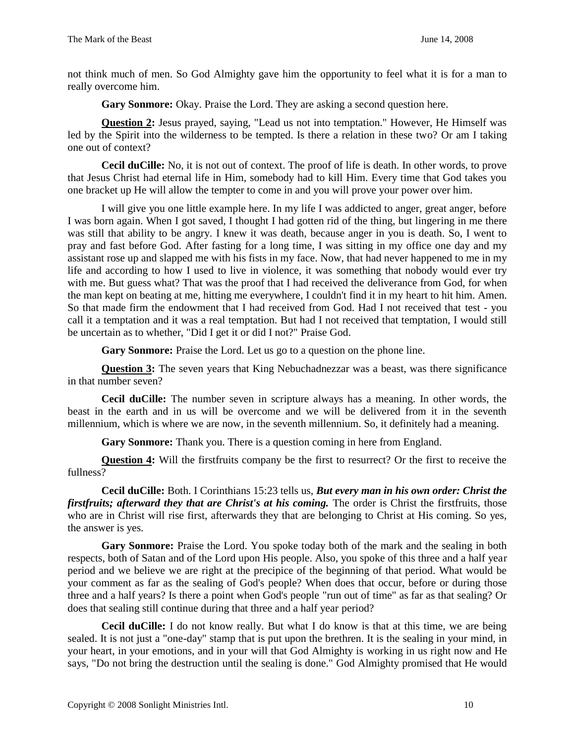not think much of men. So God Almighty gave him the opportunity to feel what it is for a man to really overcome him.

**Gary Sonmore:** Okay. Praise the Lord. They are asking a second question here.

**Question 2:** Jesus prayed, saying, "Lead us not into temptation." However, He Himself was led by the Spirit into the wilderness to be tempted. Is there a relation in these two? Or am I taking one out of context?

**Cecil duCille:** No, it is not out of context. The proof of life is death. In other words, to prove that Jesus Christ had eternal life in Him, somebody had to kill Him. Every time that God takes you one bracket up He will allow the tempter to come in and you will prove your power over him.

I will give you one little example here. In my life I was addicted to anger, great anger, before I was born again. When I got saved, I thought I had gotten rid of the thing, but lingering in me there was still that ability to be angry. I knew it was death, because anger in you is death. So, I went to pray and fast before God. After fasting for a long time, I was sitting in my office one day and my assistant rose up and slapped me with his fists in my face. Now, that had never happened to me in my life and according to how I used to live in violence, it was something that nobody would ever try with me. But guess what? That was the proof that I had received the deliverance from God, for when the man kept on beating at me, hitting me everywhere, I couldn't find it in my heart to hit him. Amen. So that made firm the endowment that I had received from God. Had I not received that test - you call it a temptation and it was a real temptation. But had I not received that temptation, I would still be uncertain as to whether, "Did I get it or did I not?" Praise God.

**Gary Sonmore:** Praise the Lord. Let us go to a question on the phone line.

**Question 3:** The seven years that King Nebuchadnezzar was a beast, was there significance in that number seven?

**Cecil duCille:** The number seven in scripture always has a meaning. In other words, the beast in the earth and in us will be overcome and we will be delivered from it in the seventh millennium, which is where we are now, in the seventh millennium. So, it definitely had a meaning.

**Gary Sonmore:** Thank you. There is a question coming in here from England.

**Question 4:** Will the firstfruits company be the first to resurrect? Or the first to receive the fullness?

**Cecil duCille:** Both. I Corinthians 15:23 tells us, *But every man in his own order: Christ the firstfruits; afterward they that are Christ's at his coming.* The order is Christ the firstfruits, those who are in Christ will rise first, afterwards they that are belonging to Christ at His coming. So yes, the answer is yes.

**Gary Sonmore:** Praise the Lord. You spoke today both of the mark and the sealing in both respects, both of Satan and of the Lord upon His people. Also, you spoke of this three and a half year period and we believe we are right at the precipice of the beginning of that period. What would be your comment as far as the sealing of God's people? When does that occur, before or during those three and a half years? Is there a point when God's people "run out of time" as far as that sealing? Or does that sealing still continue during that three and a half year period?

**Cecil duCille:** I do not know really. But what I do know is that at this time, we are being sealed. It is not just a "one-day" stamp that is put upon the brethren. It is the sealing in your mind, in your heart, in your emotions, and in your will that God Almighty is working in us right now and He says, "Do not bring the destruction until the sealing is done." God Almighty promised that He would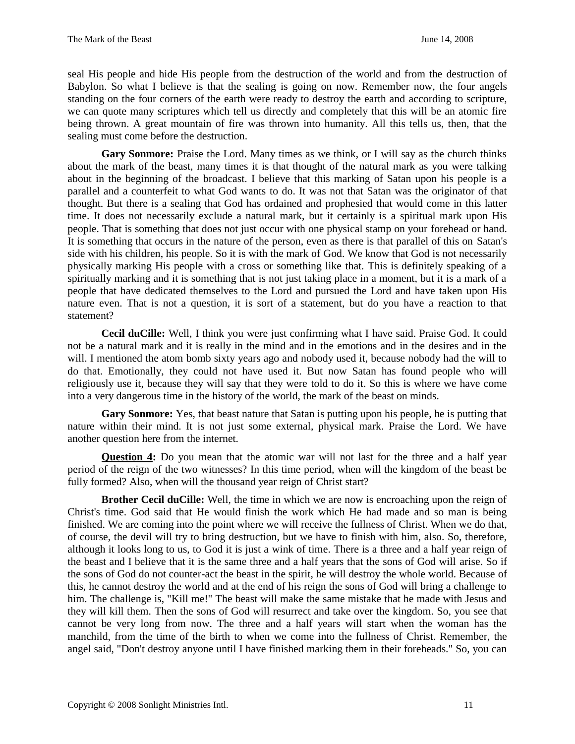seal His people and hide His people from the destruction of the world and from the destruction of Babylon. So what I believe is that the sealing is going on now. Remember now, the four angels standing on the four corners of the earth were ready to destroy the earth and according to scripture, we can quote many scriptures which tell us directly and completely that this will be an atomic fire being thrown. A great mountain of fire was thrown into humanity. All this tells us, then, that the sealing must come before the destruction.

Gary Sonmore: Praise the Lord. Many times as we think, or I will say as the church thinks about the mark of the beast, many times it is that thought of the natural mark as you were talking about in the beginning of the broadcast. I believe that this marking of Satan upon his people is a parallel and a counterfeit to what God wants to do. It was not that Satan was the originator of that thought. But there is a sealing that God has ordained and prophesied that would come in this latter time. It does not necessarily exclude a natural mark, but it certainly is a spiritual mark upon His people. That is something that does not just occur with one physical stamp on your forehead or hand. It is something that occurs in the nature of the person, even as there is that parallel of this on Satan's side with his children, his people. So it is with the mark of God. We know that God is not necessarily physically marking His people with a cross or something like that. This is definitely speaking of a spiritually marking and it is something that is not just taking place in a moment, but it is a mark of a people that have dedicated themselves to the Lord and pursued the Lord and have taken upon His nature even. That is not a question, it is sort of a statement, but do you have a reaction to that statement?

**Cecil duCille:** Well, I think you were just confirming what I have said. Praise God. It could not be a natural mark and it is really in the mind and in the emotions and in the desires and in the will. I mentioned the atom bomb sixty years ago and nobody used it, because nobody had the will to do that. Emotionally, they could not have used it. But now Satan has found people who will religiously use it, because they will say that they were told to do it. So this is where we have come into a very dangerous time in the history of the world, the mark of the beast on minds.

**Gary Sonmore:** Yes, that beast nature that Satan is putting upon his people, he is putting that nature within their mind. It is not just some external, physical mark. Praise the Lord. We have another question here from the internet.

**Question 4:** Do you mean that the atomic war will not last for the three and a half year period of the reign of the two witnesses? In this time period, when will the kingdom of the beast be fully formed? Also, when will the thousand year reign of Christ start?

**Brother Cecil duCille:** Well, the time in which we are now is encroaching upon the reign of Christ's time. God said that He would finish the work which He had made and so man is being finished. We are coming into the point where we will receive the fullness of Christ. When we do that, of course, the devil will try to bring destruction, but we have to finish with him, also. So, therefore, although it looks long to us, to God it is just a wink of time. There is a three and a half year reign of the beast and I believe that it is the same three and a half years that the sons of God will arise. So if the sons of God do not counter-act the beast in the spirit, he will destroy the whole world. Because of this, he cannot destroy the world and at the end of his reign the sons of God will bring a challenge to him. The challenge is, "Kill me!" The beast will make the same mistake that he made with Jesus and they will kill them. Then the sons of God will resurrect and take over the kingdom. So, you see that cannot be very long from now. The three and a half years will start when the woman has the manchild, from the time of the birth to when we come into the fullness of Christ. Remember, the angel said, "Don't destroy anyone until I have finished marking them in their foreheads." So, you can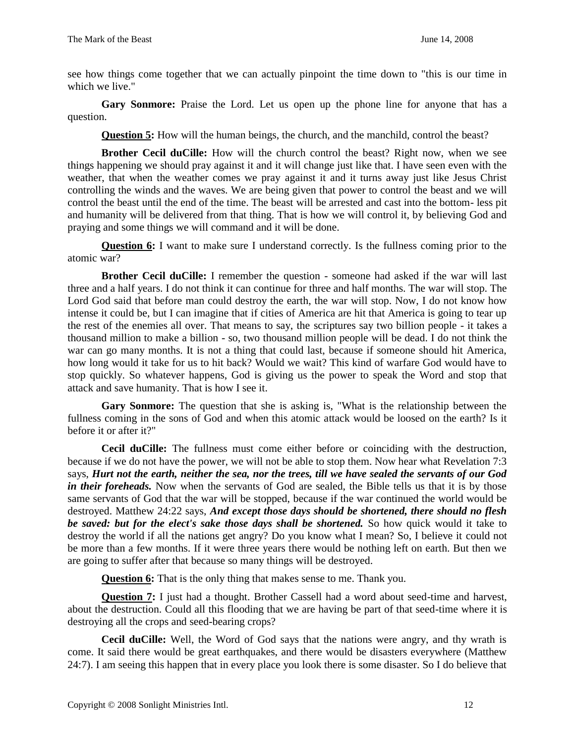see how things come together that we can actually pinpoint the time down to "this is our time in which we live."

**Gary Sonmore:** Praise the Lord. Let us open up the phone line for anyone that has a question.

**Question 5:** How will the human beings, the church, and the manchild, control the beast?

**Brother Cecil duCille:** How will the church control the beast? Right now, when we see things happening we should pray against it and it will change just like that. I have seen even with the weather, that when the weather comes we pray against it and it turns away just like Jesus Christ controlling the winds and the waves. We are being given that power to control the beast and we will control the beast until the end of the time. The beast will be arrested and cast into the bottom- less pit and humanity will be delivered from that thing. That is how we will control it, by believing God and praying and some things we will command and it will be done.

**Question 6:** I want to make sure I understand correctly. Is the fullness coming prior to the atomic war?

**Brother Cecil duCille:** I remember the question - someone had asked if the war will last three and a half years. I do not think it can continue for three and half months. The war will stop. The Lord God said that before man could destroy the earth, the war will stop. Now, I do not know how intense it could be, but I can imagine that if cities of America are hit that America is going to tear up the rest of the enemies all over. That means to say, the scriptures say two billion people - it takes a thousand million to make a billion - so, two thousand million people will be dead. I do not think the war can go many months. It is not a thing that could last, because if someone should hit America, how long would it take for us to hit back? Would we wait? This kind of warfare God would have to stop quickly. So whatever happens, God is giving us the power to speak the Word and stop that attack and save humanity. That is how I see it.

**Gary Sonmore:** The question that she is asking is, "What is the relationship between the fullness coming in the sons of God and when this atomic attack would be loosed on the earth? Is it before it or after it?"

**Cecil duCille:** The fullness must come either before or coinciding with the destruction, because if we do not have the power, we will not be able to stop them. Now hear what Revelation 7:3 says, *Hurt not the earth, neither the sea, nor the trees, till we have sealed the servants of our God in their foreheads*. Now when the servants of God are sealed, the Bible tells us that it is by those same servants of God that the war will be stopped, because if the war continued the world would be destroyed. Matthew 24:22 says, *And except those days should be shortened, there should no flesh be saved: but for the elect's sake those days shall be shortened.* So how quick would it take to destroy the world if all the nations get angry? Do you know what I mean? So, I believe it could not be more than a few months. If it were three years there would be nothing left on earth. But then we are going to suffer after that because so many things will be destroyed.

**Question 6:** That is the only thing that makes sense to me. Thank you.

**Question 7:** I just had a thought. Brother Cassell had a word about seed-time and harvest, about the destruction. Could all this flooding that we are having be part of that seed-time where it is destroying all the crops and seed-bearing crops?

**Cecil duCille:** Well, the Word of God says that the nations were angry, and thy wrath is come. It said there would be great earthquakes, and there would be disasters everywhere (Matthew 24:7). I am seeing this happen that in every place you look there is some disaster. So I do believe that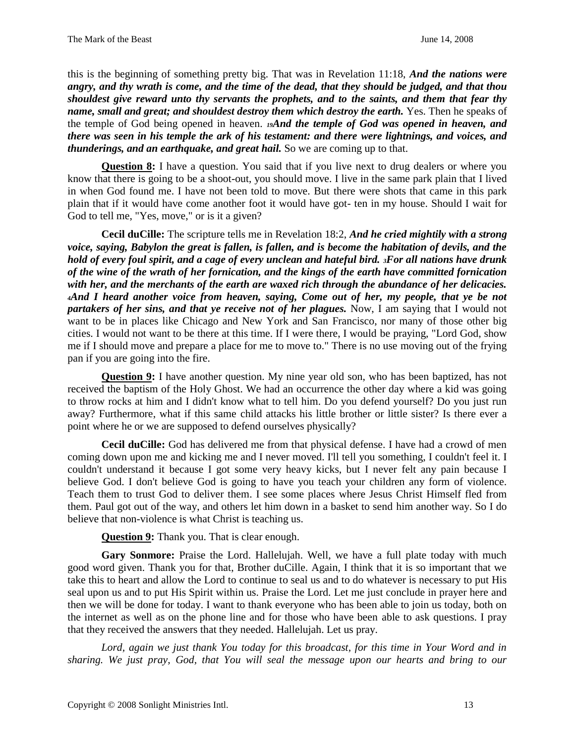this is the beginning of something pretty big. That was in Revelation 11:18, *And the nations were angry, and thy wrath is come, and the time of the dead, that they should be judged, and that thou shouldest give reward unto thy servants the prophets, and to the saints, and them that fear thy name, small and great; and shouldest destroy them which destroy the earth.* Yes. Then he speaks of the temple of God being opened in heaven. *19And the temple of God was opened in heaven, and there was seen in his temple the ark of his testament: and there were lightnings, and voices, and thunderings, and an earthquake, and great hail.* So we are coming up to that.

**Question 8:** I have a question. You said that if you live next to drug dealers or where you know that there is going to be a shoot-out, you should move. I live in the same park plain that I lived in when God found me. I have not been told to move. But there were shots that came in this park plain that if it would have come another foot it would have got- ten in my house. Should I wait for God to tell me, "Yes, move," or is it a given?

**Cecil duCille:** The scripture tells me in Revelation 18:2, *And he cried mightily with a strong voice, saying, Babylon the great is fallen, is fallen, and is become the habitation of devils, and the hold of every foul spirit, and a cage of every unclean and hateful bird. 3For all nations have drunk of the wine of the wrath of her fornication, and the kings of the earth have committed fornication with her, and the merchants of the earth are waxed rich through the abundance of her delicacies. <sup>4</sup>And I heard another voice from heaven, saying, Come out of her, my people, that ye be not partakers of her sins, and that ye receive not of her plagues.* Now, I am saying that I would not want to be in places like Chicago and New York and San Francisco, nor many of those other big cities. I would not want to be there at this time. If I were there, I would be praying, "Lord God, show me if I should move and prepare a place for me to move to." There is no use moving out of the frying pan if you are going into the fire.

**Question 9:** I have another question. My nine year old son, who has been baptized, has not received the baptism of the Holy Ghost. We had an occurrence the other day where a kid was going to throw rocks at him and I didn't know what to tell him. Do you defend yourself? Do you just run away? Furthermore, what if this same child attacks his little brother or little sister? Is there ever a point where he or we are supposed to defend ourselves physically?

**Cecil duCille:** God has delivered me from that physical defense. I have had a crowd of men coming down upon me and kicking me and I never moved. I'll tell you something, I couldn't feel it. I couldn't understand it because I got some very heavy kicks, but I never felt any pain because I believe God. I don't believe God is going to have you teach your children any form of violence. Teach them to trust God to deliver them. I see some places where Jesus Christ Himself fled from them. Paul got out of the way, and others let him down in a basket to send him another way. So I do believe that non-violence is what Christ is teaching us.

**Question 9:** Thank you. That is clear enough.

**Gary Sonmore:** Praise the Lord. Hallelujah. Well, we have a full plate today with much good word given. Thank you for that, Brother duCille. Again, I think that it is so important that we take this to heart and allow the Lord to continue to seal us and to do whatever is necessary to put His seal upon us and to put His Spirit within us. Praise the Lord. Let me just conclude in prayer here and then we will be done for today. I want to thank everyone who has been able to join us today, both on the internet as well as on the phone line and for those who have been able to ask questions. I pray that they received the answers that they needed. Hallelujah. Let us pray.

*Lord, again we just thank You today for this broadcast, for this time in Your Word and in sharing. We just pray, God, that You will seal the message upon our hearts and bring to our*